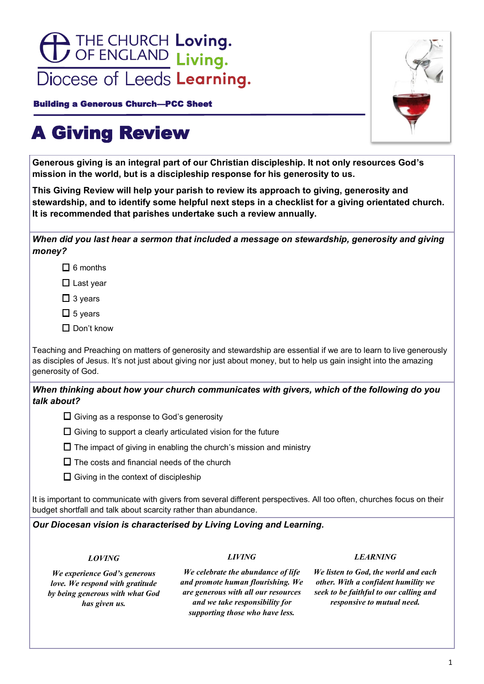

Building a Generous Church—PCC Sheet



# A Giving Review

**Generous giving is an integral part of our Christian discipleship. It not only resources God's mission in the world, but is a discipleship response for his generosity to us.**

**This Giving Review will help your parish to review its approach to giving, generosity and stewardship, and to identify some helpful next steps in a checklist for a giving orientated church. It is recommended that parishes undertake such a review annually.**

| When did you last hear a sermon that included a message on stewardship, generosity and giving |  |
|-----------------------------------------------------------------------------------------------|--|
| money?                                                                                        |  |

 $\Box$  6 months

 $\Box$  Last year

 $\Box$  3 years

 $\Box$  5 years

 $\square$  Don't know

Teaching and Preaching on matters of generosity and stewardship are essential if we are to learn to live generously as disciples of Jesus. It's not just about giving nor just about money, but to help us gain insight into the amazing generosity of God.

## *When thinking about how your church communicates with givers, which of the following do you talk about?*



- $\Box$  Giving to support a clearly articulated vision for the future
- $\Box$  The impact of giving in enabling the church's mission and ministry
- $\Box$  The costs and financial needs of the church



It is important to communicate with givers from several different perspectives. All too often, churches focus on their budget shortfall and talk about scarcity rather than abundance.

## *Our Diocesan vision is characterised by Living Loving and Learning.*

*LOVING*

#### *LIVING*

#### *LEARNING*

*We experience God's generous love. We respond with gratitude by being generous with what God has given us.* 

*We celebrate the abundance of life and promote human flourishing. We are generous with all our resources and we take responsibility for supporting those who have less.*

*We listen to God, the world and each other. With a confident humility we seek to be faithful to our calling and responsive to mutual need.*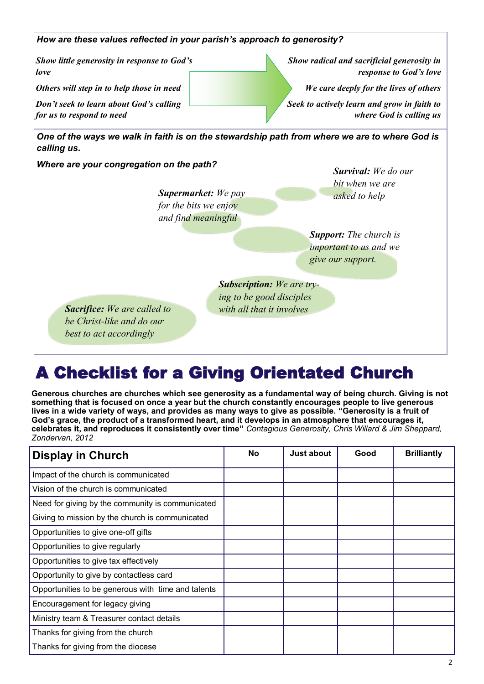

## A Checklist for a Giving Orientated Church

**Generous churches are churches which see generosity as a fundamental way of being church. Giving is not something that is focused on once a year but the church constantly encourages people to live generous lives in a wide variety of ways, and provides as many ways to give as possible. "Generosity is a fruit of God's grace, the product of a transformed heart, and it develops in an atmosphere that encourages it, celebrates it, and reproduces it consistently over time"** *Contagious Generosity, Chris Willard & Jim Sheppard, Zondervan, 2012* 

| <b>Display in Church</b>                           | <b>No</b> | Just about | Good | <b>Brilliantly</b> |
|----------------------------------------------------|-----------|------------|------|--------------------|
| Impact of the church is communicated               |           |            |      |                    |
| Vision of the church is communicated               |           |            |      |                    |
| Need for giving by the community is communicated   |           |            |      |                    |
| Giving to mission by the church is communicated    |           |            |      |                    |
| Opportunities to give one-off gifts                |           |            |      |                    |
| Opportunities to give regularly                    |           |            |      |                    |
| Opportunities to give tax effectively              |           |            |      |                    |
| Opportunity to give by contactless card            |           |            |      |                    |
| Opportunities to be generous with time and talents |           |            |      |                    |
| Encouragement for legacy giving                    |           |            |      |                    |
| Ministry team & Treasurer contact details          |           |            |      |                    |
| Thanks for giving from the church                  |           |            |      |                    |
| Thanks for giving from the diocese                 |           |            |      |                    |